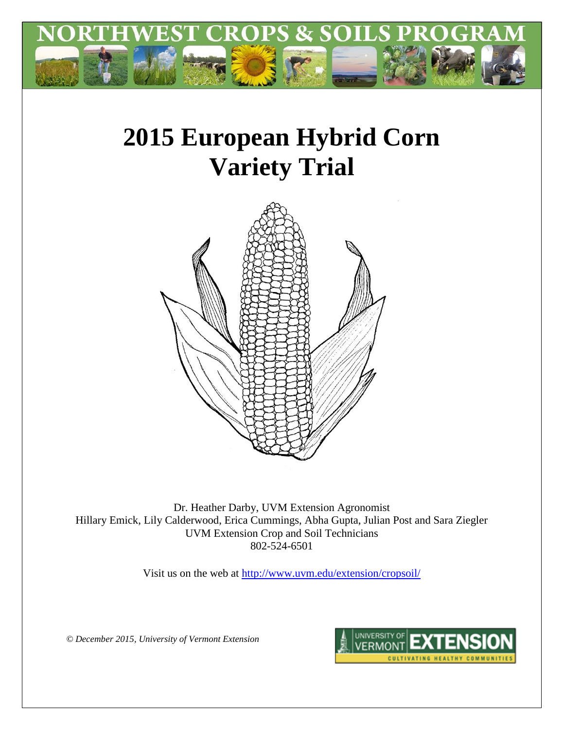

# **2015 European Hybrid Corn Variety Trial**



Dr. Heather Darby, UVM Extension Agronomist Hillary Emick, Lily Calderwood, Erica Cummings, Abha Gupta, Julian Post and Sara Ziegler UVM Extension Crop and Soil Technicians 802-524-6501

Visit us on the web at <http://www.uvm.edu/extension/cropsoil/>

*© December 2015, University of Vermont Extension*

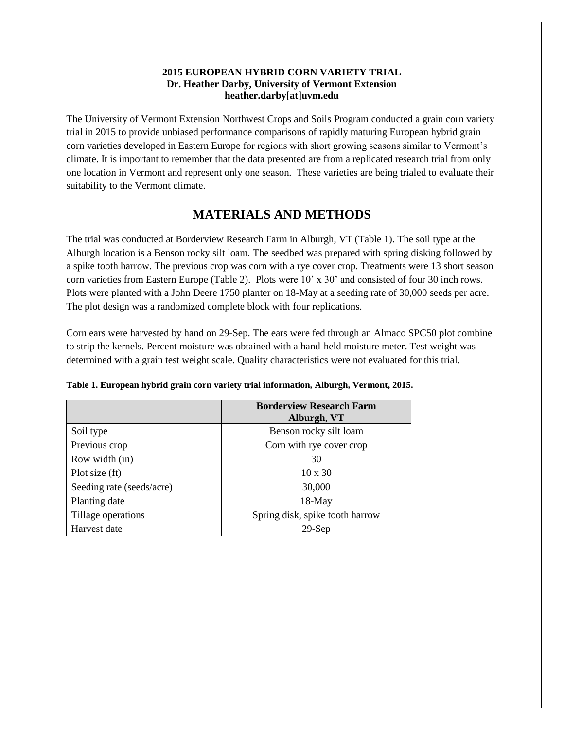#### **2015 EUROPEAN HYBRID CORN VARIETY TRIAL Dr. Heather Darby, University of Vermont Extension heather.darby[at]uvm.edu**

The University of Vermont Extension Northwest Crops and Soils Program conducted a grain corn variety trial in 2015 to provide unbiased performance comparisons of rapidly maturing European hybrid grain corn varieties developed in Eastern Europe for regions with short growing seasons similar to Vermont's climate. It is important to remember that the data presented are from a replicated research trial from only one location in Vermont and represent only one season. These varieties are being trialed to evaluate their suitability to the Vermont climate.

## **MATERIALS AND METHODS**

The trial was conducted at Borderview Research Farm in Alburgh, VT (Table 1). The soil type at the Alburgh location is a Benson rocky silt loam. The seedbed was prepared with spring disking followed by a spike tooth harrow. The previous crop was corn with a rye cover crop. Treatments were 13 short season corn varieties from Eastern Europe (Table 2). Plots were 10' x 30' and consisted of four 30 inch rows. Plots were planted with a John Deere 1750 planter on 18-May at a seeding rate of 30,000 seeds per acre. The plot design was a randomized complete block with four replications.

Corn ears were harvested by hand on 29-Sep. The ears were fed through an Almaco SPC50 plot combine to strip the kernels. Percent moisture was obtained with a hand-held moisture meter. Test weight was determined with a grain test weight scale. Quality characteristics were not evaluated for this trial.

|                           | <b>Borderview Research Farm</b><br>Alburgh, VT |
|---------------------------|------------------------------------------------|
| Soil type                 | Benson rocky silt loam                         |
| Previous crop             | Corn with rye cover crop                       |
| Row width (in)            | 30                                             |
| Plot size (ft)            | $10 \times 30$                                 |
| Seeding rate (seeds/acre) | 30,000                                         |
| Planting date             | $18-May$                                       |
| Tillage operations        | Spring disk, spike tooth harrow                |
| Harvest date              | $29-Sep$                                       |

|  |  | Table 1. European hybrid grain corn variety trial information, Alburgh, Vermont, 2015. |  |  |
|--|--|----------------------------------------------------------------------------------------|--|--|
|  |  |                                                                                        |  |  |
|  |  |                                                                                        |  |  |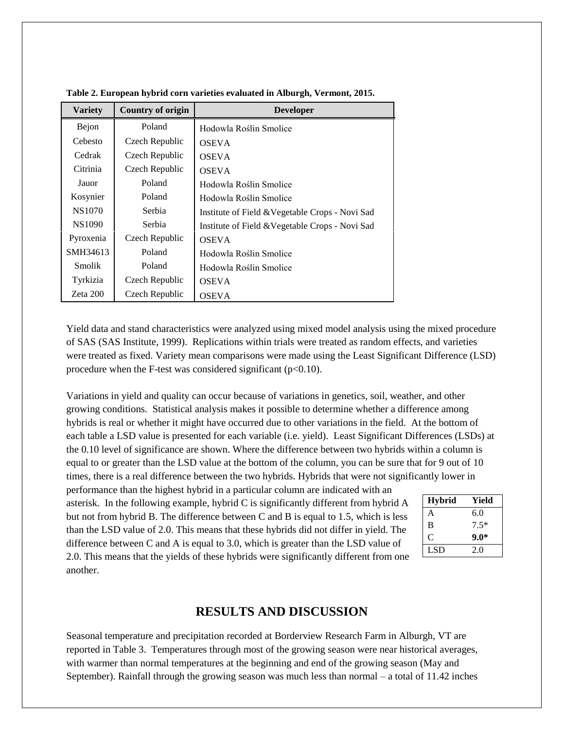| <b>Variety</b> | <b>Country of origin</b> | <b>Developer</b>                                |
|----------------|--------------------------|-------------------------------------------------|
| Bejon          | Poland                   | Hodowla Roślin Smolice                          |
| Cebesto        | Czech Republic           | <b>OSEVA</b>                                    |
| Cedrak         | Czech Republic           | <b>OSEVA</b>                                    |
| Citrinia       | Czech Republic           | <b>OSEVA</b>                                    |
| Jauor          | Poland                   | Hodowla Roślin Smolice                          |
| Kosynier       | Poland                   | Hodowla Roślin Smolice                          |
| <b>NS1070</b>  | Serbia                   | Institute of Field & Vegetable Crops - Novi Sad |
| NS1090         | Serbia                   | Institute of Field & Vegetable Crops - Novi Sad |
| Pyroxenia      | Czech Republic           | <b>OSEVA</b>                                    |
| SMH34613       | Poland                   | Hodowla Roślin Smolice                          |
| <b>Smolik</b>  | Poland                   | Hodowla Roślin Smolice                          |
| Tyrkizia       | Czech Republic           | <b>OSEVA</b>                                    |
| Zeta 200       | Czech Republic           | <b>OSEVA</b>                                    |

**Table 2. European hybrid corn varieties evaluated in Alburgh, Vermont, 2015.**

Yield data and stand characteristics were analyzed using mixed model analysis using the mixed procedure of SAS (SAS Institute, 1999). Replications within trials were treated as random effects, and varieties were treated as fixed. Variety mean comparisons were made using the Least Significant Difference (LSD) procedure when the F-test was considered significant  $(p<0.10)$ .

Variations in yield and quality can occur because of variations in genetics, soil, weather, and other growing conditions. Statistical analysis makes it possible to determine whether a difference among hybrids is real or whether it might have occurred due to other variations in the field. At the bottom of each table a LSD value is presented for each variable (i.e. yield). Least Significant Differences (LSDs) at the 0.10 level of significance are shown. Where the difference between two hybrids within a column is equal to or greater than the LSD value at the bottom of the column, you can be sure that for 9 out of 10 times, there is a real difference between the two hybrids. Hybrids that were not significantly lower in

performance than the highest hybrid in a particular column are indicated with an asterisk. In the following example, hybrid C is significantly different from hybrid A but not from hybrid B. The difference between C and B is equal to 1.5, which is less than the LSD value of 2.0. This means that these hybrids did not differ in yield. The difference between C and A is equal to 3.0, which is greater than the LSD value of 2.0. This means that the yields of these hybrids were significantly different from one another.

| <b>Hybrid</b> | Yield  |
|---------------|--------|
| A             | 6.0    |
| B             | $7.5*$ |
| $\mathcal{C}$ | $9.0*$ |
| LSD.          | 2.0    |

#### **RESULTS AND DISCUSSION**

Seasonal temperature and precipitation recorded at Borderview Research Farm in Alburgh, VT are reported in Table 3. Temperatures through most of the growing season were near historical averages, with warmer than normal temperatures at the beginning and end of the growing season (May and September). Rainfall through the growing season was much less than normal – a total of 11.42 inches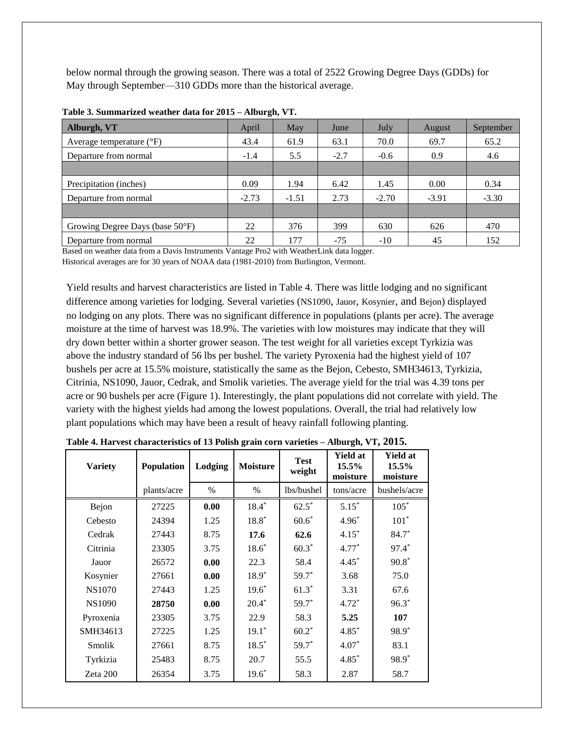below normal through the growing season. There was a total of 2522 Growing Degree Days (GDDs) for May through September—310 GDDs more than the historical average.

| Alburgh, VT                       | April   | May     | June   | July    | August  | September |
|-----------------------------------|---------|---------|--------|---------|---------|-----------|
| Average temperature $(^{\circ}F)$ | 43.4    | 61.9    | 63.1   | 70.0    | 69.7    | 65.2      |
| Departure from normal             | $-1.4$  | 5.5     | $-2.7$ | $-0.6$  | 0.9     | 4.6       |
|                                   |         |         |        |         |         |           |
| Precipitation (inches)            | 0.09    | 1.94    | 6.42   | 1.45    | 0.00    | 0.34      |
| Departure from normal             | $-2.73$ | $-1.51$ | 2.73   | $-2.70$ | $-3.91$ | $-3.30$   |
|                                   |         |         |        |         |         |           |
| Growing Degree Days (base 50°F)   | 22      | 376     | 399    | 630     | 626     | 470       |
| Departure from normal             | 22      | 177     | $-75$  | $-10$   | 45      | 152       |

| Table 3. Summarized weather data for 2015 - Alburgh, VT. |  |
|----------------------------------------------------------|--|
|----------------------------------------------------------|--|

Based on weather data from a Davis Instruments Vantage Pro2 with WeatherLink data logger.

Historical averages are for 30 years of NOAA data (1981-2010) from Burlington, Vermont.

Yield results and harvest characteristics are listed in Table 4. There was little lodging and no significant difference among varieties for lodging. Several varieties (NS1090, Jauor, Kosynier, and Bejon) displayed no lodging on any plots. There was no significant difference in populations (plants per acre). The average moisture at the time of harvest was 18.9%. The varieties with low moistures may indicate that they will dry down better within a shorter grower season. The test weight for all varieties except Tyrkizia was above the industry standard of 56 lbs per bushel. The variety Pyroxenia had the highest yield of 107 bushels per acre at 15.5% moisture, statistically the same as the Bejon, Cebesto, SMH34613, Tyrkizia, Citrinia, NS1090, Jauor, Cedrak, and Smolik varieties. The average yield for the trial was 4.39 tons per acre or 90 bushels per acre (Figure 1). Interestingly, the plant populations did not correlate with yield. The variety with the highest yields had among the lowest populations. Overall, the trial had relatively low plant populations which may have been a result of heavy rainfall following planting.

| <b>Variety</b> | Population  | Lodging | <b>Moisture</b> | <b>Test</b><br>weight | <b>Yield at</b><br>$15.5\%$<br>moisture | <b>Yield at</b><br>15.5%<br>moisture |
|----------------|-------------|---------|-----------------|-----------------------|-----------------------------------------|--------------------------------------|
|                | plants/acre | $\%$    | $\%$            | lbs/bushel            | tons/acre                               | bushels/acre                         |
| Bejon          | 27225       | 0.00    | $18.4*$         | $62.5*$               | $5.15*$                                 | $105*$                               |
| Cebesto        | 24394       | 1.25    | $18.8*$         | $60.6*$               | $4.96*$                                 | $101*$                               |
| Cedrak         | 27443       | 8.75    | 17.6            | 62.6                  | $4.15*$                                 | 84.7*                                |
| Citrinia       | 23305       | 3.75    | $18.6*$         | $60.3*$               | $4.77*$                                 | 97.4*                                |
| Jauor          | 26572       | 0.00    | 22.3            | 58.4                  | $4.45*$                                 | $90.8*$                              |
| Kosynier       | 27661       | 0.00    | $18.9*$         | $59.7*$               | 3.68                                    | 75.0                                 |
| <b>NS1070</b>  | 27443       | 1.25    | $19.6*$         | $61.3*$               | 3.31                                    | 67.6                                 |
| <b>NS1090</b>  | 28750       | 0.00    | $20.4*$         | $59.7*$               | $4.72*$                                 | $96.3*$                              |
| Pyroxenia      | 23305       | 3.75    | 22.9            | 58.3                  | 5.25                                    | 107                                  |
| SMH34613       | 27225       | 1.25    | $19.1*$         | $60.2*$               | $4.85*$                                 | 98.9 <sup>*</sup>                    |
| Smolik         | 27661       | 8.75    | $18.5*$         | $59.7*$               | $4.07*$                                 | 83.1                                 |
| Tyrkizia       | 25483       | 8.75    | 20.7            | 55.5                  | $4.85*$                                 | 98.9*                                |
| Zeta 200       | 26354       | 3.75    | $19.6*$         | 58.3                  | 2.87                                    | 58.7                                 |

**Table 4. Harvest characteristics of 13 Polish grain corn varieties – Alburgh, VT, 2015.**